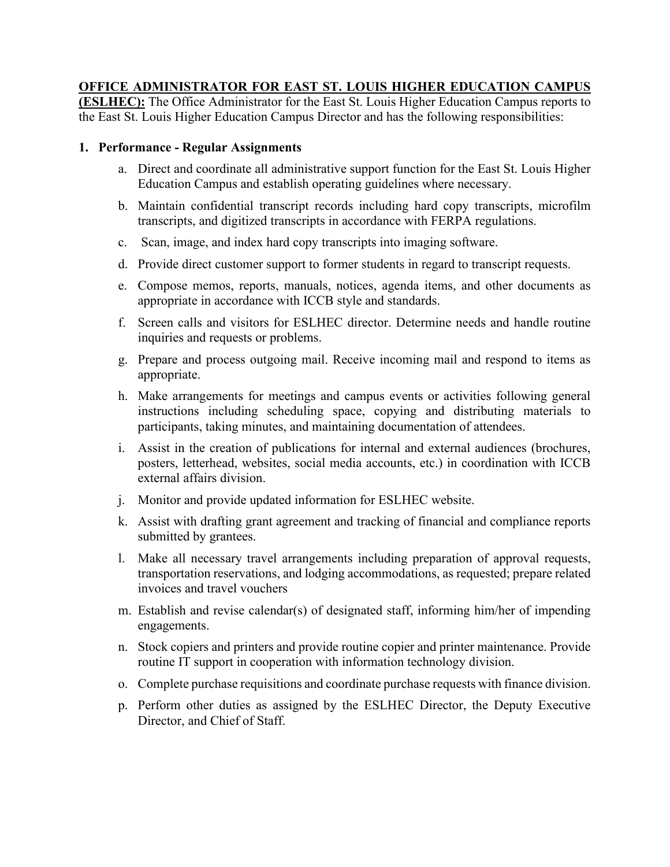## **OFFICE ADMINISTRATOR FOR EAST ST. LOUIS HIGHER EDUCATION CAMPUS**

**(ESLHEC):** The Office Administrator for the East St. Louis Higher Education Campus reports to the East St. Louis Higher Education Campus Director and has the following responsibilities:

## **1. Performance - Regular Assignments**

- a. Direct and coordinate all administrative support function for the East St. Louis Higher Education Campus and establish operating guidelines where necessary.
- b. Maintain confidential transcript records including hard copy transcripts, microfilm transcripts, and digitized transcripts in accordance with FERPA regulations.
- c. Scan, image, and index hard copy transcripts into imaging software.
- d. Provide direct customer support to former students in regard to transcript requests.
- e. Compose memos, reports, manuals, notices, agenda items, and other documents as appropriate in accordance with ICCB style and standards.
- f. Screen calls and visitors for ESLHEC director. Determine needs and handle routine inquiries and requests or problems.
- g. Prepare and process outgoing mail. Receive incoming mail and respond to items as appropriate.
- h. Make arrangements for meetings and campus events or activities following general instructions including scheduling space, copying and distributing materials to participants, taking minutes, and maintaining documentation of attendees.
- i. Assist in the creation of publications for internal and external audiences (brochures, posters, letterhead, websites, social media accounts, etc.) in coordination with ICCB external affairs division.
- j. Monitor and provide updated information for ESLHEC website.
- k. Assist with drafting grant agreement and tracking of financial and compliance reports submitted by grantees.
- l. Make all necessary travel arrangements including preparation of approval requests, transportation reservations, and lodging accommodations, as requested; prepare related invoices and travel vouchers
- m. Establish and revise calendar(s) of designated staff, informing him/her of impending engagements.
- n. Stock copiers and printers and provide routine copier and printer maintenance. Provide routine IT support in cooperation with information technology division.
- o. Complete purchase requisitions and coordinate purchase requests with finance division.
- p. Perform other duties as assigned by the ESLHEC Director, the Deputy Executive Director, and Chief of Staff.